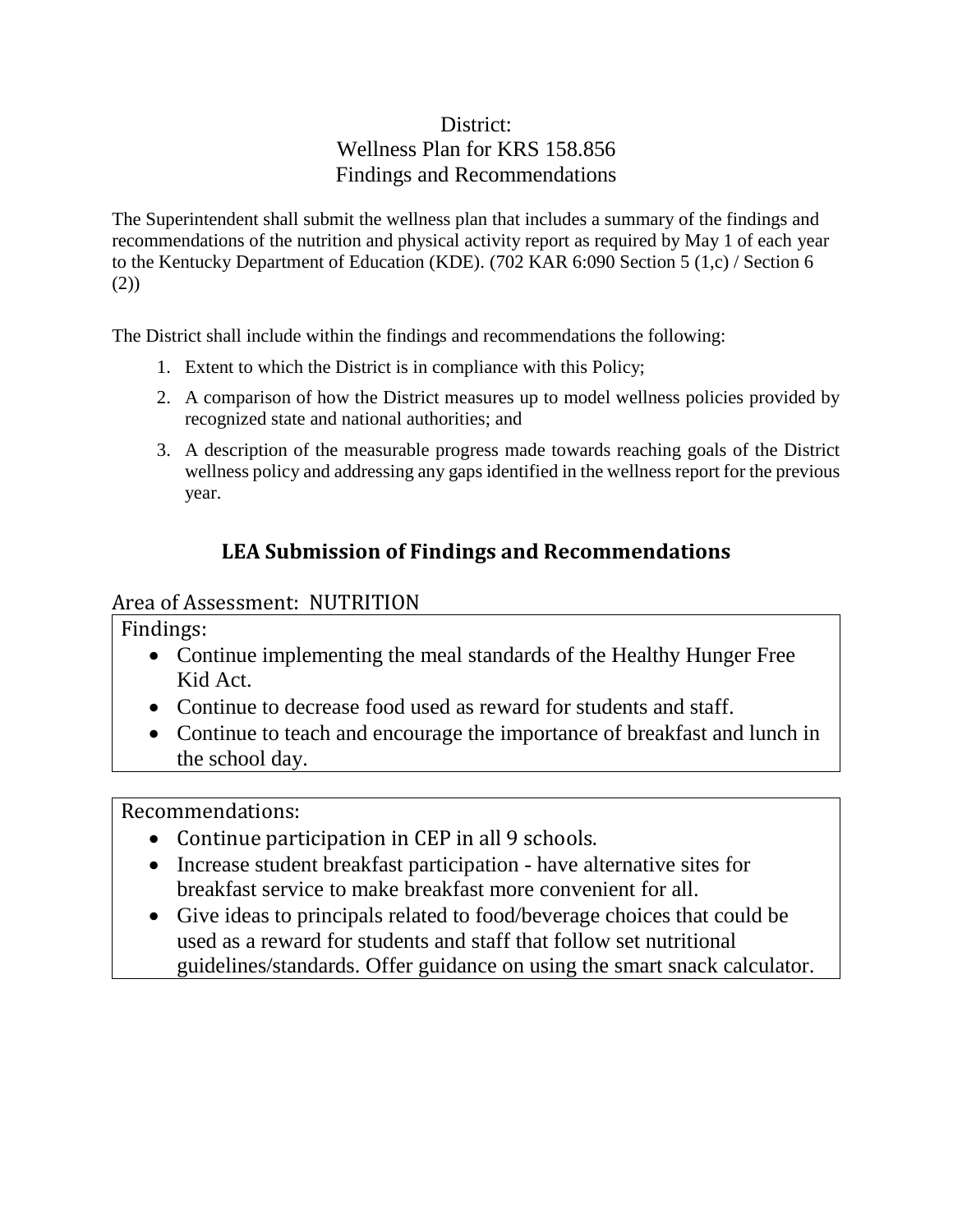## District: Wellness Plan for KRS 158.856 Findings and Recommendations

The Superintendent shall submit the wellness plan that includes a summary of the findings and recommendations of the nutrition and physical activity report as required by May 1 of each year to the Kentucky Department of Education (KDE). (702 KAR 6:090 Section 5 (1,c) / Section 6 (2))

The District shall include within the findings and recommendations the following:

- 1. Extent to which the District is in compliance with this Policy;
- 2. A comparison of how the District measures up to model wellness policies provided by recognized state and national authorities; and
- 3. A description of the measurable progress made towards reaching goals of the District wellness policy and addressing any gaps identified in the wellness report for the previous year.

# **LEA Submission of Findings and Recommendations**

### Area of Assessment: NUTRITION

Findings:

- Continue implementing the meal standards of the Healthy Hunger Free Kid Act.
- Continue to decrease food used as reward for students and staff.
- Continue to teach and encourage the importance of breakfast and lunch in the school day.

Recommendations:

- Continue participation in CEP in all 9 schools.
- Increase student breakfast participation have alternative sites for breakfast service to make breakfast more convenient for all.
- Give ideas to principals related to food/beverage choices that could be used as a reward for students and staff that follow set nutritional guidelines/standards. Offer guidance on using the smart snack calculator.